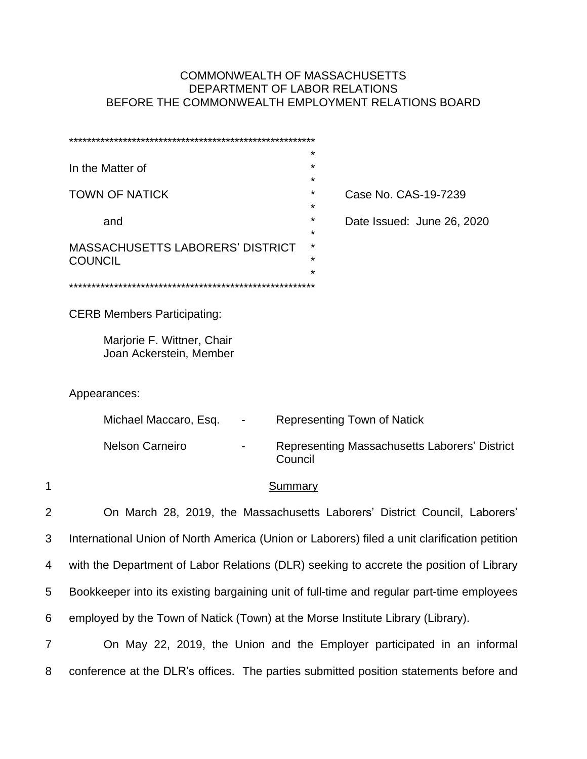## COMMONWEALTH OF MASSACHUSETTS DEPARTMENT OF LABOR RELATIONS BEFORE THE COMMONWEALTH EMPLOYMENT RELATIONS BOARD

|   | $\star$<br>In the Matter of<br>*                                                             |
|---|----------------------------------------------------------------------------------------------|
|   | <b>TOWN OF NATICK</b><br>*<br>Case No. CAS-19-7239                                           |
|   | $\star$<br>Date Issued: June 26, 2020<br>and<br>*                                            |
|   | <b>MASSACHUSETTS LABORERS' DISTRICT</b><br>*<br>$\star$<br><b>COUNCIL</b><br>$^\star$        |
|   |                                                                                              |
|   | <b>CERB Members Participating:</b>                                                           |
|   | Marjorie F. Wittner, Chair<br>Joan Ackerstein, Member                                        |
|   | Appearances:                                                                                 |
|   | Michael Maccaro, Esq.<br><b>Representing Town of Natick</b>                                  |
|   | <b>Nelson Carneiro</b><br>Representing Massachusetts Laborers' District<br>Council           |
| 1 | <b>Summary</b>                                                                               |
| 2 | On March 28, 2019, the Massachusetts Laborers' District Council, Laborers'                   |
| 3 | International Union of North America (Union or Laborers) filed a unit clarification petition |
| 4 | with the Department of Labor Relations (DLR) seeking to accrete the position of Library      |
| 5 | Bookkeeper into its existing bargaining unit of full-time and regular part-time employees    |
| 6 | employed by the Town of Natick (Town) at the Morse Institute Library (Library).              |
| 7 | On May 22, 2019, the Union and the Employer participated in an informal                      |
| 8 | conference at the DLR's offices. The parties submitted position statements before and        |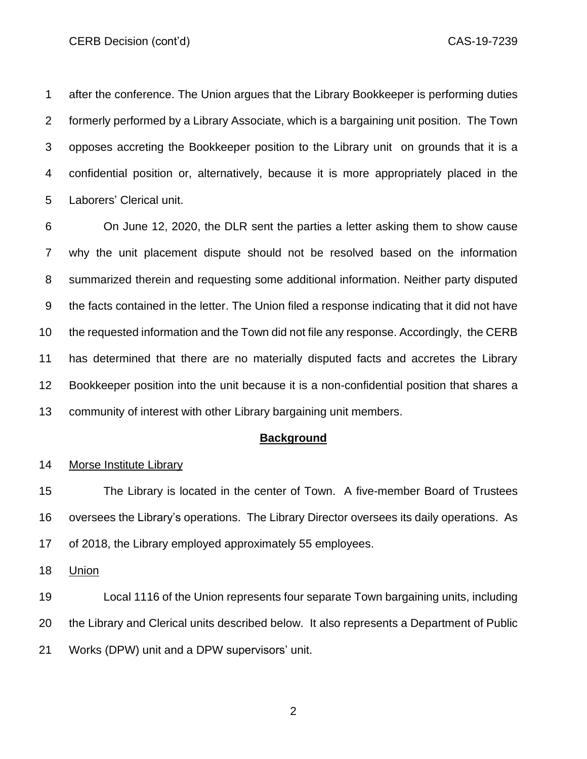after the conference. The Union argues that the Library Bookkeeper is performing duties formerly performed by a Library Associate, which is a bargaining unit position. The Town opposes accreting the Bookkeeper position to the Library unit on grounds that it is a confidential position or, alternatively, because it is more appropriately placed in the Laborers' Clerical unit.

 On June 12, 2020, the DLR sent the parties a letter asking them to show cause why the unit placement dispute should not be resolved based on the information summarized therein and requesting some additional information. Neither party disputed the facts contained in the letter. The Union filed a response indicating that it did not have the requested information and the Town did not file any response. Accordingly, the CERB has determined that there are no materially disputed facts and accretes the Library Bookkeeper position into the unit because it is a non-confidential position that shares a community of interest with other Library bargaining unit members.

#### **Background**

#### Morse Institute Library

 The Library is located in the center of Town. A five-member Board of Trustees oversees the Library's operations. The Library Director oversees its daily operations. As of 2018, the Library employed approximately 55 employees.

Union

 Local 1116 of the Union represents four separate Town bargaining units, including the Library and Clerical units described below. It also represents a Department of Public Works (DPW) unit and a DPW supervisors' unit.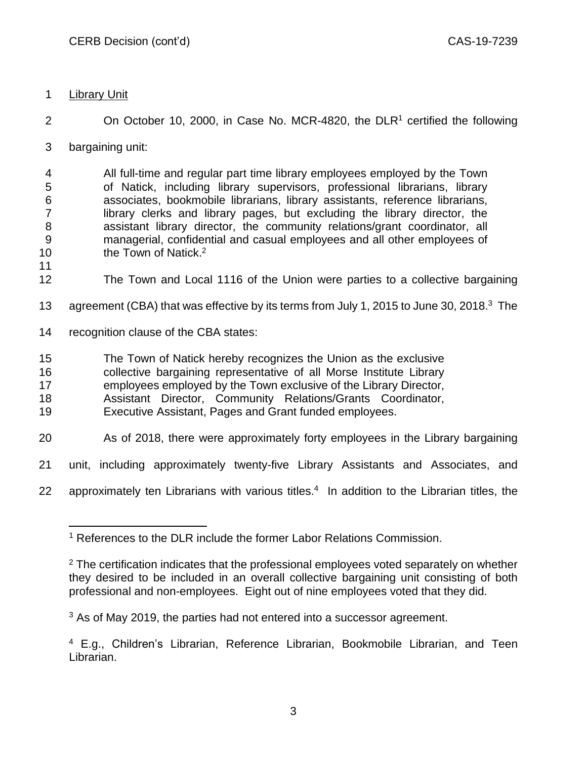**Library Unit** 

2 On October 10, 2000, in Case No. MCR-4820, the  $DLR<sup>1</sup>$  certified the following

bargaining unit:

 All full-time and regular part time library employees employed by the Town of Natick, including library supervisors, professional librarians, library associates, bookmobile librarians, library assistants, reference librarians, 7 library clerks and library pages, but excluding the library director, the assistant library director, the community relations/grant coordinator, all managerial, confidential and casual employees and all other employees of 10 the Town of Natick.<sup>2</sup>

- The Town and Local 1116 of the Union were parties to a collective bargaining
- 13 agreement (CBA) that was effective by its terms from July 1, 2015 to June 30, 2018.<sup>3</sup> The
- recognition clause of the CBA states:
- The Town of Natick hereby recognizes the Union as the exclusive
- collective bargaining representative of all Morse Institute Library
- employees employed by the Town exclusive of the Library Director,
- Assistant Director, Community Relations/Grants Coordinator,
- Executive Assistant, Pages and Grant funded employees.
- As of 2018, there were approximately forty employees in the Library bargaining
- unit, including approximately twenty-five Library Assistants and Associates, and
- 22 approximately ten Librarians with various titles.<sup>4</sup> In addition to the Librarian titles, the

<sup>&</sup>lt;sup>1</sup> References to the DLR include the former Labor Relations Commission.

 The certification indicates that the professional employees voted separately on whether they desired to be included in an overall collective bargaining unit consisting of both professional and non-employees. Eight out of nine employees voted that they did.

As of May 2019, the parties had not entered into a successor agreement.

 E.g., Children's Librarian, Reference Librarian, Bookmobile Librarian, and Teen Librarian.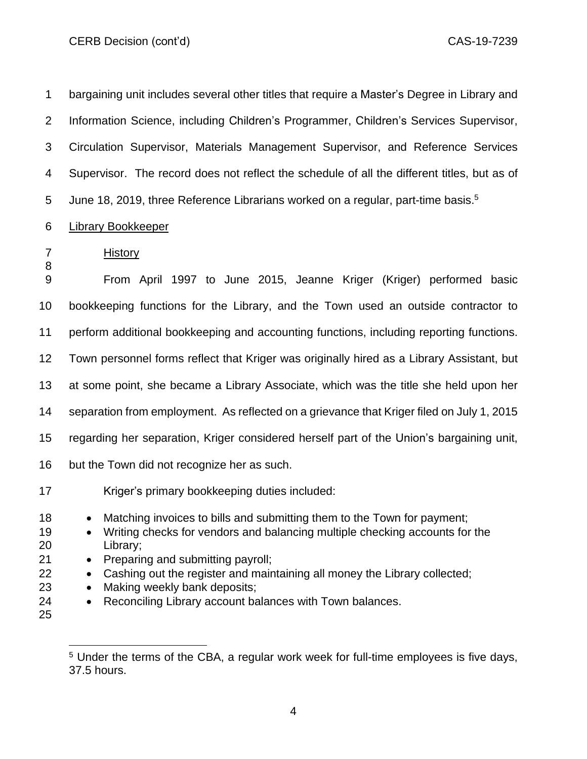bargaining unit includes several other titles that require a Master's Degree in Library and Information Science, including Children's Programmer, Children's Services Supervisor, Circulation Supervisor, Materials Management Supervisor, and Reference Services Supervisor. The record does not reflect the schedule of all the different titles, but as of 5 June 18, 2019, three Reference Librarians worked on a regular, part-time basis.<sup>5</sup>

#### Library Bookkeeper

 From April 1997 to June 2015, Jeanne Kriger (Kriger) performed basic bookkeeping functions for the Library, and the Town used an outside contractor to perform additional bookkeeping and accounting functions, including reporting functions. Town personnel forms reflect that Kriger was originally hired as a Library Assistant, but at some point, she became a Library Associate, which was the title she held upon her separation from employment. As reflected on a grievance that Kriger filed on July 1, 2015 regarding her separation, Kriger considered herself part of the Union's bargaining unit, but the Town did not recognize her as such. Kriger's primary bookkeeping duties included: 18 • Matching invoices to bills and submitting them to the Town for payment; 19 • Writing checks for vendors and balancing multiple checking accounts for the Library; • Preparing and submitting payroll; • Cashing out the register and maintaining all money the Library collected; • Making weekly bank deposits; • Reconciling Library account balances with Town balances. 

History

<sup>&</sup>lt;sup>5</sup> Under the terms of the CBA, a regular work week for full-time employees is five days, 37.5 hours.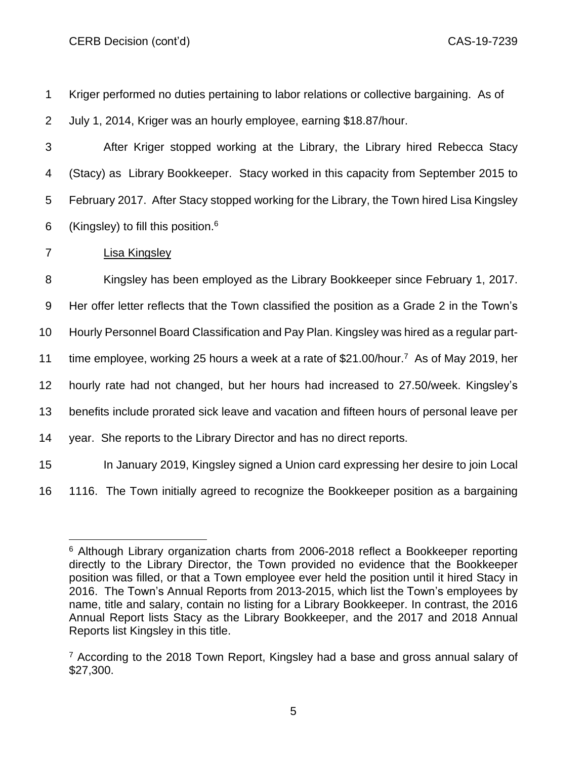Kriger performed no duties pertaining to labor relations or collective bargaining. As of July 1, 2014, Kriger was an hourly employee, earning \$18.87/hour. After Kriger stopped working at the Library, the Library hired Rebecca Stacy (Stacy) as Library Bookkeeper. Stacy worked in this capacity from September 2015 to February 2017. After Stacy stopped working for the Library, the Town hired Lisa Kingsley 6 (Kingsley) to fill this position.<sup>6</sup> Lisa Kingsley Kingsley has been employed as the Library Bookkeeper since February 1, 2017. Her offer letter reflects that the Town classified the position as a Grade 2 in the Town's Hourly Personnel Board Classification and Pay Plan. Kingsley was hired as a regular part-11 time employee, working 25 hours a week at a rate of \$21.00/hour.<sup>7</sup> As of May 2019, her hourly rate had not changed, but her hours had increased to 27.50/week. Kingsley's benefits include prorated sick leave and vacation and fifteen hours of personal leave per year. She reports to the Library Director and has no direct reports. In January 2019, Kingsley signed a Union card expressing her desire to join Local 1116. The Town initially agreed to recognize the Bookkeeper position as a bargaining

<sup>&</sup>lt;sup>6</sup> Although Library organization charts from 2006-2018 reflect a Bookkeeper reporting directly to the Library Director, the Town provided no evidence that the Bookkeeper position was filled, or that a Town employee ever held the position until it hired Stacy in 2016. The Town's Annual Reports from 2013-2015, which list the Town's employees by name, title and salary, contain no listing for a Library Bookkeeper. In contrast, the 2016 Annual Report lists Stacy as the Library Bookkeeper, and the 2017 and 2018 Annual Reports list Kingsley in this title.

 $7$  According to the 2018 Town Report, Kingsley had a base and gross annual salary of \$27,300.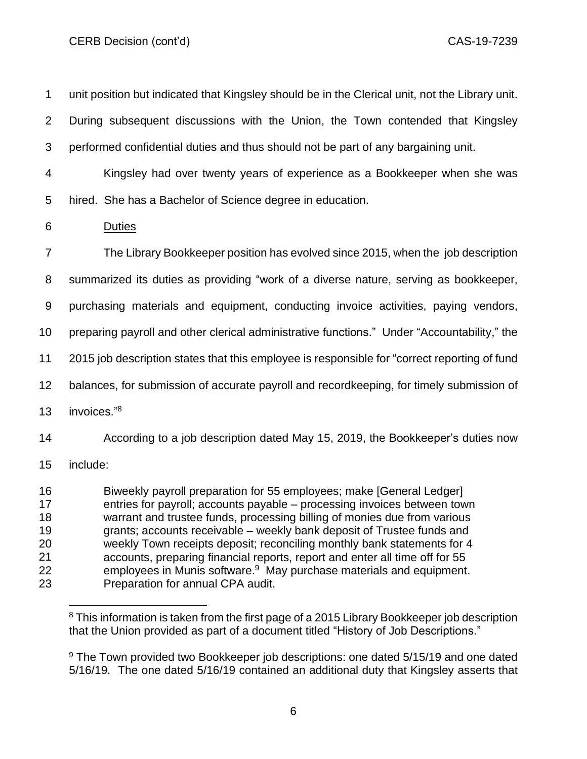unit position but indicated that Kingsley should be in the Clerical unit, not the Library unit. During subsequent discussions with the Union, the Town contended that Kingsley performed confidential duties and thus should not be part of any bargaining unit. Kingsley had over twenty years of experience as a Bookkeeper when she was hired. She has a Bachelor of Science degree in education. Duties The Library Bookkeeper position has evolved since 2015, when the job description summarized its duties as providing "work of a diverse nature, serving as bookkeeper, purchasing materials and equipment, conducting invoice activities, paying vendors, preparing payroll and other clerical administrative functions." Under "Accountability," the 2015 job description states that this employee is responsible for "correct reporting of fund balances, for submission of accurate payroll and recordkeeping, for timely submission of 13 invoices."<sup>8</sup> According to a job description dated May 15, 2019, the Bookkeeper's duties now include: Biweekly payroll preparation for 55 employees; make [General Ledger] entries for payroll; accounts payable – processing invoices between town warrant and trustee funds, processing billing of monies due from various grants; accounts receivable – weekly bank deposit of Trustee funds and weekly Town receipts deposit; reconciling monthly bank statements for 4 accounts, preparing financial reports, report and enter all time off for 55 **Examployees in Munis software.**<sup>9</sup> May purchase materials and equipment.

Preparation for annual CPA audit.

<sup>&</sup>lt;sup>8</sup> This information is taken from the first page of a 2015 Library Bookkeeper job description that the Union provided as part of a document titled "History of Job Descriptions."

<sup>&</sup>lt;sup>9</sup> The Town provided two Bookkeeper job descriptions: one dated 5/15/19 and one dated 5/16/19. The one dated 5/16/19 contained an additional duty that Kingsley asserts that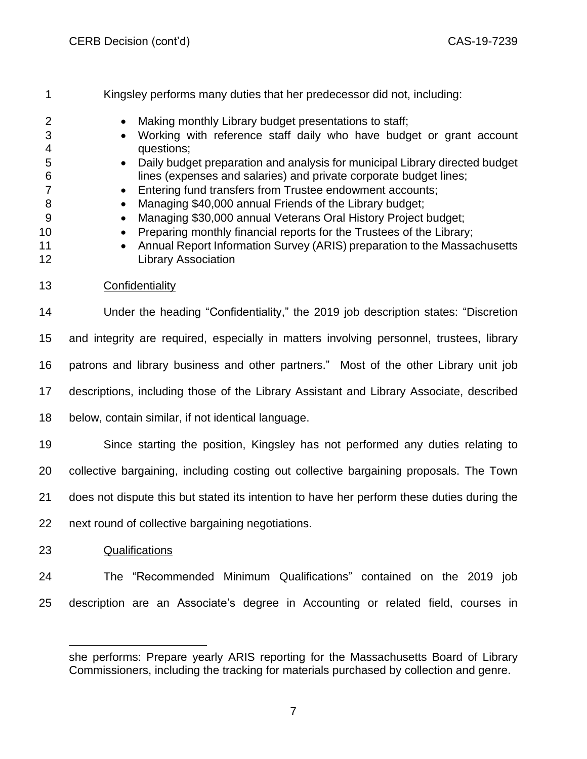Kingsley performs many duties that her predecessor did not, including: 2 • Making monthly Library budget presentations to staff; • Working with reference staff daily who have budget or grant account questions; • Daily budget preparation and analysis for municipal Library directed budget lines (expenses and salaries) and private corporate budget lines; **• Entering fund transfers from Trustee endowment accounts;** 8 • Managing \$40,000 annual Friends of the Library budget: 9 • Managing \$30,000 annual Veterans Oral History Project budget; 10 • Preparing monthly financial reports for the Trustees of the Library; 11 • Annual Report Information Survey (ARIS) preparation to the Massachusetts Library Association Confidentiality Under the heading "Confidentiality," the 2019 job description states: "Discretion and integrity are required, especially in matters involving personnel, trustees, library patrons and library business and other partners." Most of the other Library unit job descriptions, including those of the Library Assistant and Library Associate, described below, contain similar, if not identical language. Since starting the position, Kingsley has not performed any duties relating to collective bargaining, including costing out collective bargaining proposals. The Town does not dispute this but stated its intention to have her perform these duties during the next round of collective bargaining negotiations. Qualifications The "Recommended Minimum Qualifications" contained on the 2019 job description are an Associate's degree in Accounting or related field, courses in

she performs: Prepare yearly ARIS reporting for the Massachusetts Board of Library Commissioners, including the tracking for materials purchased by collection and genre.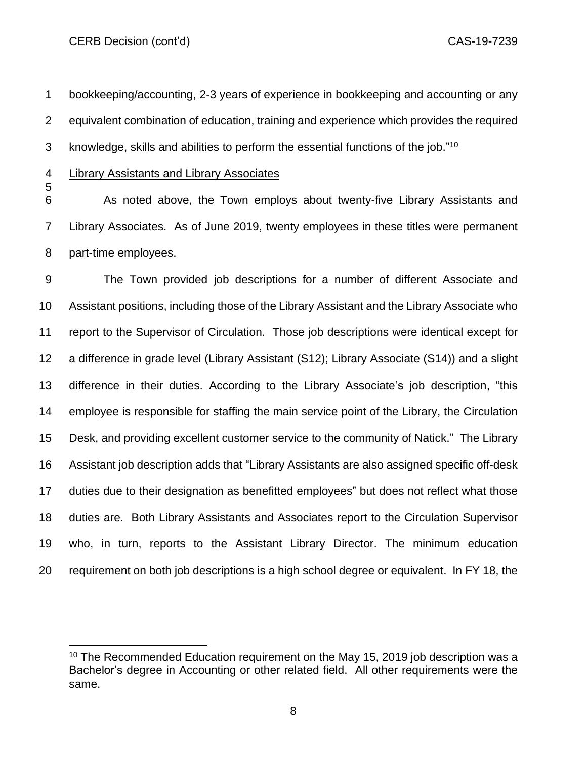bookkeeping/accounting, 2-3 years of experience in bookkeeping and accounting or any equivalent combination of education, training and experience which provides the required 3 knowledge, skills and abilities to perform the essential functions of the job."<sup>10</sup>

Library Assistants and Library Associates

 As noted above, the Town employs about twenty-five Library Assistants and Library Associates. As of June 2019, twenty employees in these titles were permanent part-time employees.

 The Town provided job descriptions for a number of different Associate and Assistant positions, including those of the Library Assistant and the Library Associate who report to the Supervisor of Circulation. Those job descriptions were identical except for a difference in grade level (Library Assistant (S12); Library Associate (S14)) and a slight difference in their duties. According to the Library Associate's job description, "this employee is responsible for staffing the main service point of the Library, the Circulation Desk, and providing excellent customer service to the community of Natick." The Library Assistant job description adds that "Library Assistants are also assigned specific off-desk duties due to their designation as benefitted employees" but does not reflect what those duties are. Both Library Assistants and Associates report to the Circulation Supervisor who, in turn, reports to the Assistant Library Director. The minimum education requirement on both job descriptions is a high school degree or equivalent. In FY 18, the

 The Recommended Education requirement on the May 15, 2019 job description was a Bachelor's degree in Accounting or other related field. All other requirements were the same.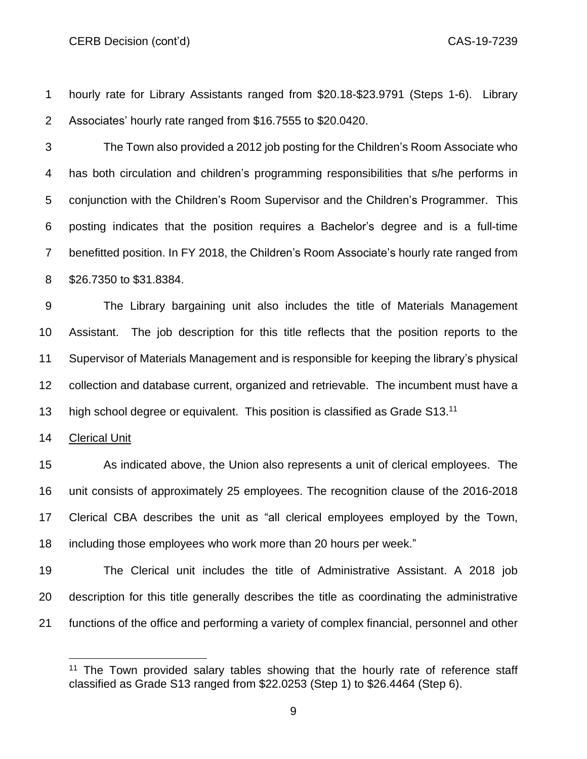hourly rate for Library Assistants ranged from \$20.18-\$23.9791 (Steps 1-6). Library Associates' hourly rate ranged from \$16.7555 to \$20.0420.

 The Town also provided a 2012 job posting for the Children's Room Associate who has both circulation and children's programming responsibilities that s/he performs in conjunction with the Children's Room Supervisor and the Children's Programmer. This posting indicates that the position requires a Bachelor's degree and is a full-time benefitted position. In FY 2018, the Children's Room Associate's hourly rate ranged from \$26.7350 to \$31.8384.

 The Library bargaining unit also includes the title of Materials Management Assistant. The job description for this title reflects that the position reports to the Supervisor of Materials Management and is responsible for keeping the library's physical collection and database current, organized and retrievable. The incumbent must have a 13 high school degree or equivalent. This position is classified as Grade S13.<sup>11</sup>

Clerical Unit

 As indicated above, the Union also represents a unit of clerical employees. The unit consists of approximately 25 employees. The recognition clause of the 2016-2018 Clerical CBA describes the unit as "all clerical employees employed by the Town, including those employees who work more than 20 hours per week."

 The Clerical unit includes the title of Administrative Assistant. A 2018 job description for this title generally describes the title as coordinating the administrative functions of the office and performing a variety of complex financial, personnel and other

 The Town provided salary tables showing that the hourly rate of reference staff classified as Grade S13 ranged from \$22.0253 (Step 1) to \$26.4464 (Step 6).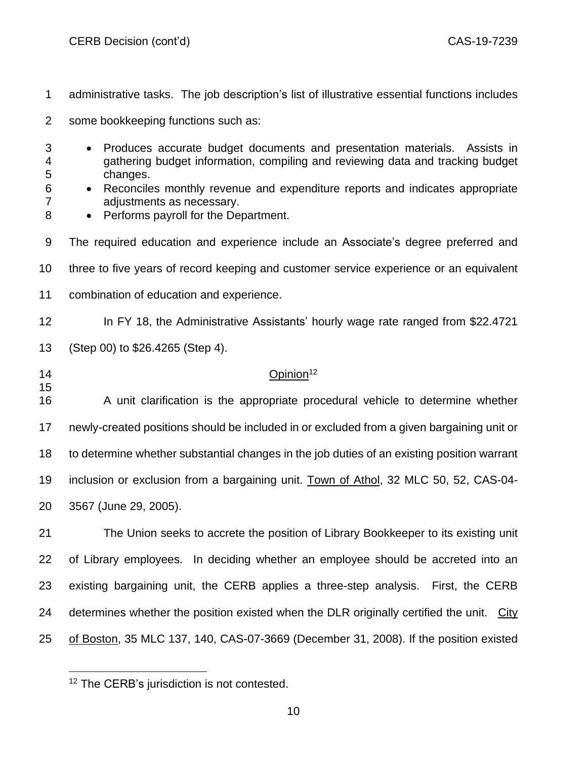- administrative tasks. The job description's list of illustrative essential functions includes
- some bookkeeping functions such as:
- Produces accurate budget documents and presentation materials. Assists in gathering budget information, compiling and reviewing data and tracking budget changes.
- Reconciles monthly revenue and expenditure reports and indicates appropriate adjustments as necessary.
- 8 Performs payroll for the Department.
- The required education and experience include an Associate's degree preferred and
- three to five years of record keeping and customer service experience or an equivalent
- combination of education and experience.
- 12 In FY 18, the Administrative Assistants' hourly wage rate ranged from \$22.4721

(Step 00) to \$26.4265 (Step 4).

## 14 Opinion<sup>12</sup>

 A unit clarification is the appropriate procedural vehicle to determine whether newly-created positions should be included in or excluded from a given bargaining unit or to determine whether substantial changes in the job duties of an existing position warrant inclusion or exclusion from a bargaining unit. Town of Athol, 32 MLC 50, 52, CAS-04- 3567 (June 29, 2005).

 The Union seeks to accrete the position of Library Bookkeeper to its existing unit of Library employees. In deciding whether an employee should be accreted into an existing bargaining unit, the CERB applies a three-step analysis. First, the CERB determines whether the position existed when the DLR originally certified the unit. City of Boston, 35 MLC 137, 140, CAS-07-3669 (December 31, 2008). If the position existed

<sup>&</sup>lt;sup>12</sup> The CERB's jurisdiction is not contested.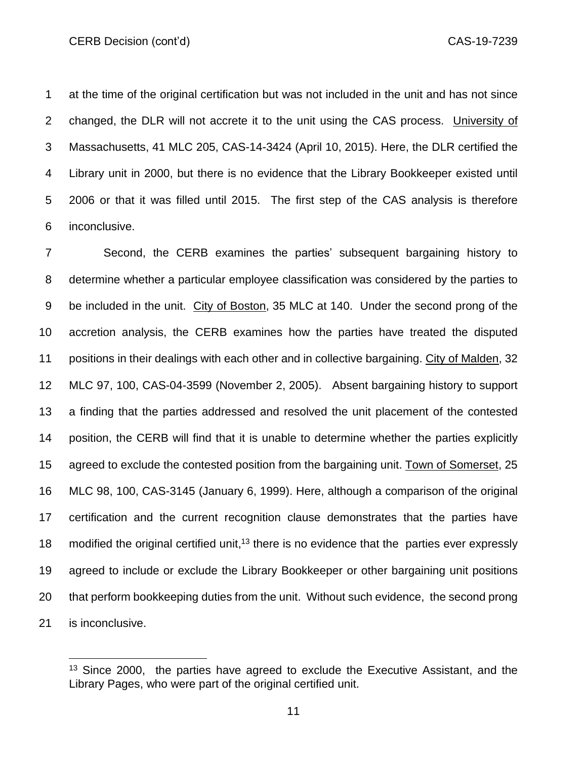at the time of the original certification but was not included in the unit and has not since changed, the DLR will not accrete it to the unit using the CAS process. University of Massachusetts, 41 MLC 205, CAS-14-3424 (April 10, 2015). Here, the DLR certified the Library unit in 2000, but there is no evidence that the Library Bookkeeper existed until 2006 or that it was filled until 2015. The first step of the CAS analysis is therefore inconclusive.

 Second, the CERB examines the parties' subsequent bargaining history to determine whether a particular employee classification was considered by the parties to be included in the unit. City of Boston, 35 MLC at 140. Under the second prong of the accretion analysis, the CERB examines how the parties have treated the disputed positions in their dealings with each other and in collective bargaining. City of Malden, 32 MLC 97, 100, CAS-04-3599 (November 2, 2005). Absent bargaining history to support a finding that the parties addressed and resolved the unit placement of the contested position, the CERB will find that it is unable to determine whether the parties explicitly agreed to exclude the contested position from the bargaining unit. Town of Somerset, 25 MLC 98, 100, CAS-3145 (January 6, 1999). Here, although a comparison of the original certification and the current recognition clause demonstrates that the parties have 18 modified the original certified unit,<sup>13</sup> there is no evidence that the parties ever expressly agreed to include or exclude the Library Bookkeeper or other bargaining unit positions that perform bookkeeping duties from the unit. Without such evidence, the second prong is inconclusive.

 Since 2000, the parties have agreed to exclude the Executive Assistant, and the Library Pages, who were part of the original certified unit.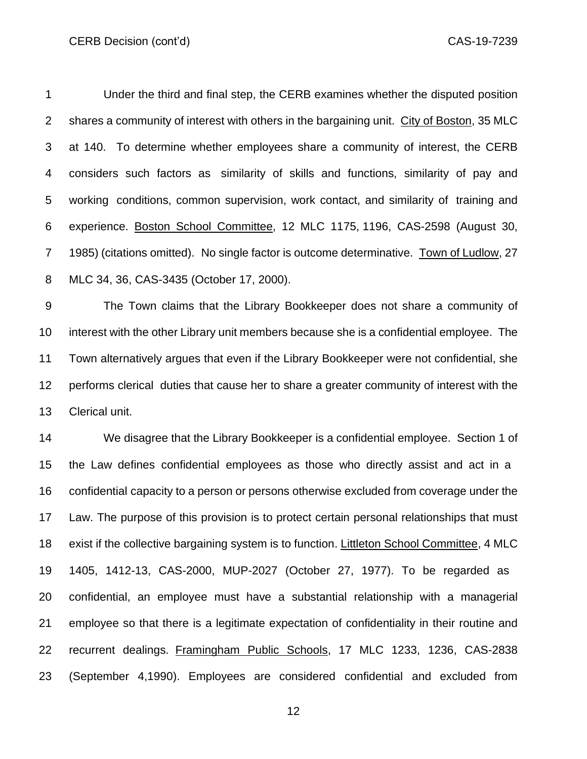Under the third and final step, the CERB examines whether the disputed position shares a community of interest with others in the bargaining unit. City of Boston, 35 MLC at 140. To determine whether employees share a community of interest, the CERB considers such factors as similarity of skills and functions, similarity of pay and working conditions, common supervision, work contact, and similarity of training and experience. Boston School Committee, 12 MLC 1175, 1196, CAS-2598 (August 30, 1985) (citations omitted). No single factor is outcome determinative. Town of Ludlow, 27 MLC 34, 36, CAS-3435 (October 17, 2000).

 The Town claims that the Library Bookkeeper does not share a community of interest with the other Library unit members because she is a confidential employee. The Town alternatively argues that even if the Library Bookkeeper were not confidential, she performs clerical duties that cause her to share a greater community of interest with the Clerical unit.

 We disagree that the Library Bookkeeper is a confidential employee. Section 1 of the Law defines confidential employees as those who directly assist and act in a confidential capacity to a person or persons otherwise excluded from coverage under the Law. The purpose of this provision is to protect certain personal relationships that must exist if the collective bargaining system is to function. Littleton School Committee, 4 MLC 1405, 1412-13, CAS-2000, MUP-2027 (October 27, 1977). To be regarded as confidential, an employee must have a substantial relationship with a managerial employee so that there is a legitimate expectation of confidentiality in their routine and recurrent dealings. Framingham Public Schools, 17 MLC 1233, 1236, CAS-2838 (September 4,1990). Employees are considered [c](http://sll.gvpi.net/document.php?id=labor:0031022-0000000&type=hitlist&num=1#hit28)onfidentia[l](http://sll.gvpi.net/document.php?id=labor:0031022-0000000&type=hitlist&num=1#hit30) and excluded from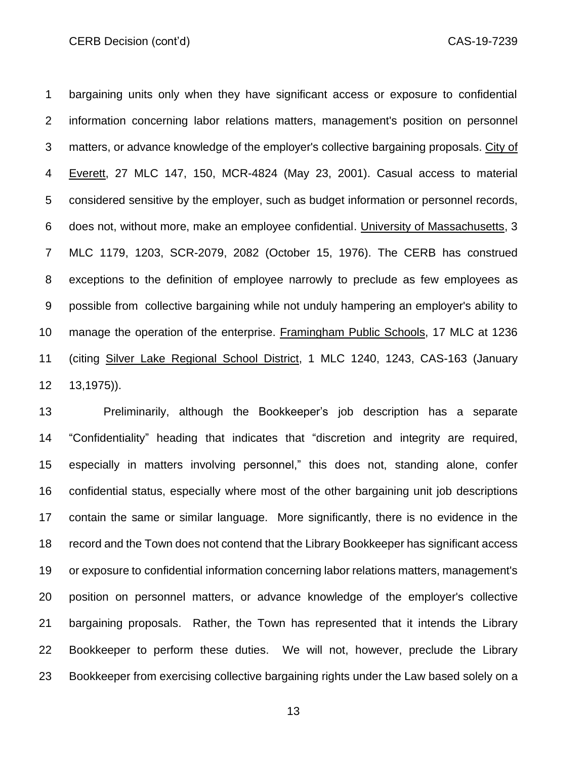bargaining units only when they have significant access or exposure to confidential information concerning labor relations matters, management's position on personnel matters, or advance knowledge of the employer's collective bargaining proposals. City of 4 Everett, 27 MLC 147, 150, MCR-4824 (May 23, 2001). Casual access to material considered sensitive by the employer, such as budget information or personnel records, does not, without more, make an employee confidential. University of Massachusetts, 3 MLC 1179, 1203, SCR-2079, 2082 (October 15, 1976). The CERB has construed exceptions to the definition of employee narrowly to preclude as few employees as possible from collective bargaining while not unduly hampering an employer's ability to manage the operation of the enterprise. Framingham Public Schools, 17 MLC at 1236 (citing Silver Lake Regional School District, 1 MLC 1240, 1243, CAS-163 (January 13,1975)).

 Preliminarily, although the Bookkeeper's job description has a separate "Confidentiality" heading that indicates that "discretion and integrity are required, especially in matters involving personnel," this does not, standing alone, confer confidential status, especially where most of the other bargaining unit job descriptions contain the same or similar language. More significantly, there is no evidence in the record and the Town does not contend that the Library Bookkeeper has significant access or exposure to confidential information concerning labor relations matters, management's position on personnel matters, or advance knowledge of the employer's collective bargaining proposals. Rather, the Town has represented that it intends the Library Bookkeeper to perform these duties. We will not, however, preclude the Library Bookkeeper from exercising collective bargaining rights under the Law based solely on a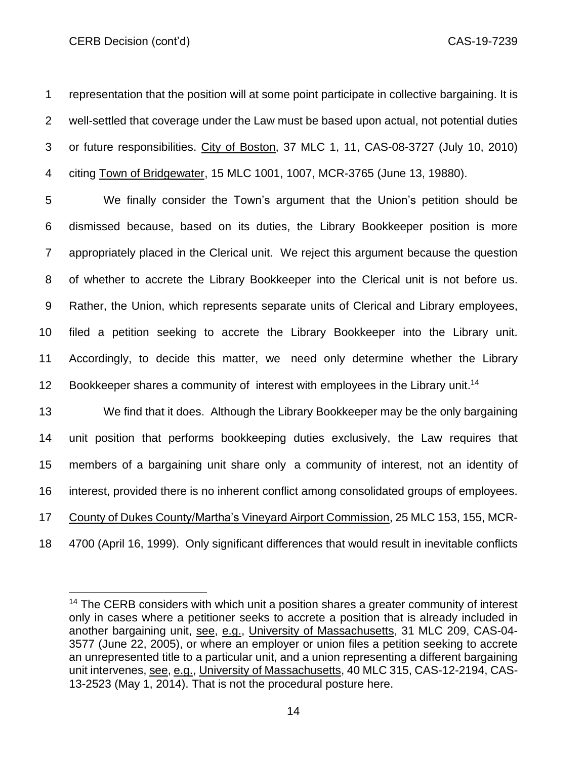representation that the position will at some point participate in collective bargaining. It is well-settled that coverage under the Law must be based upon actual, not potential duties or future responsibilities. City of Boston, 37 MLC 1, 11, CAS-08-3727 (July 10, 2010) citing Town of Bridgewater, 15 MLC 1001, 1007, MCR-3765 (June 13, 19880).

 We finally consider the Town's argument that the Union's petition should be dismissed because, based on its duties, the Library Bookkeeper position is more appropriately placed in the Clerical unit. We reject this argument because the question of whether to accrete the Library Bookkeeper into the Clerical unit is not before us. Rather, the Union, which represents separate units of Clerical and Library employees, filed a petition seeking to accrete the Library Bookkeeper into the Library unit. Accordingly, to decide this matter, we need only determine whether the Library 12 Bookkeeper shares a community of interest with employees in the Library unit.<sup>14</sup>

 We find that it does. Although the Library Bookkeeper may be the only bargaining unit position that performs bookkeeping duties exclusively, the Law requires that members of a bargaining unit share only a community of interest, not an identity of interest, provided there is no inherent conflict among consolidated groups of employees. County of Dukes County/Martha's Vineyard Airport Commission, 25 MLC 153, 155, MCR-

4700 (April 16, 1999). Only significant differences that would result in inevitable conflicts

<sup>&</sup>lt;sup>14</sup> The CERB considers with which unit a position shares a greater community of interest only in cases where a petitioner seeks to accrete a position that is already included in another bargaining unit, see, e.g., University of Massachusetts, 31 MLC 209, CAS-04- (June 22, 2005), or where an employer or union files a petition seeking to accrete an unrepresented title to a particular unit, and a union representing a different bargaining unit intervenes, see, e.g., University of Massachusetts, 40 MLC 315, CAS-12-2194, CAS-13-2523 (May 1, 2014). That is not the procedural posture here.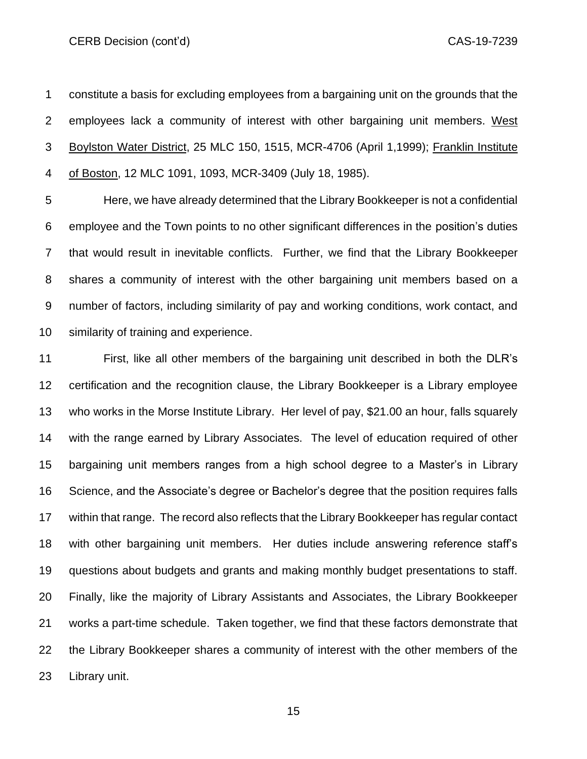CERB Decision (cont'd) **CAS-19-7239** 

 constitute a basis for excluding employees from a bargaining unit on the grounds that the employees lack a community of interest with other bargaining unit members. West Boylston Water District, 25 MLC 150, 1515, MCR-4706 (April 1,1999); Franklin Institute of Boston, 12 MLC 1091, 1093, MCR-3409 (July 18, 1985).

 Here, we have already determined that the Library Bookkeeper is not a confidential employee and the Town points to no other significant differences in the position's duties that would result in inevitable conflicts. Further, we find that the Library Bookkeeper shares a community of interest with the other bargaining unit members based on a number of factors, including similarity of pay and working conditions, work contact, and similarity of training and experience.

 First, like all other members of the bargaining unit described in both the DLR's certification and the recognition clause, the Library Bookkeeper is a Library employee who works in the Morse Institute Library. Her level of pay, \$21.00 an hour, falls squarely with the range earned by Library Associates. The level of education required of other bargaining unit members ranges from a high school degree to a Master's in Library Science, and the Associate's degree or Bachelor's degree that the position requires falls within that range. The record also reflects that the Library Bookkeeper has regular contact with other bargaining unit members. Her duties include answering reference staff's questions about budgets and grants and making monthly budget presentations to staff. Finally, like the majority of Library Assistants and Associates, the Library Bookkeeper works a part-time schedule. Taken together, we find that these factors demonstrate that the Library Bookkeeper shares a community of interest with the other members of the Library unit.